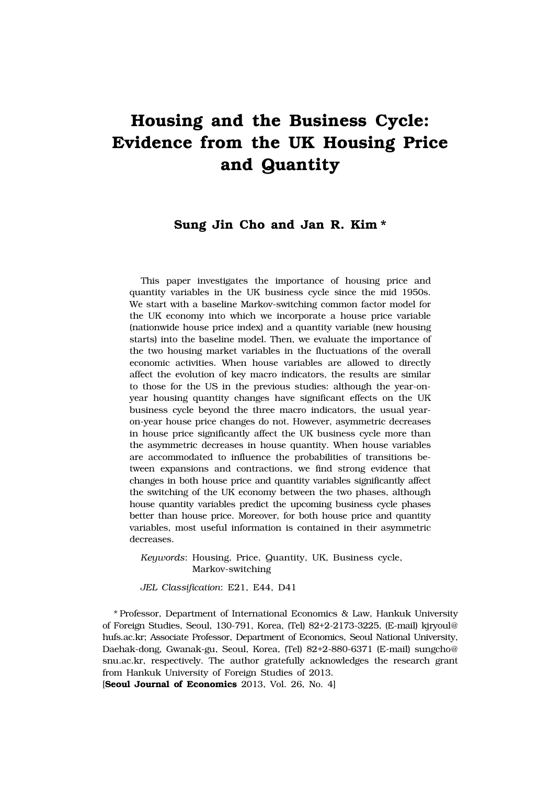# **Housing and the Business Cycle: Evidence from the UK Housing Price and Quantity**

# **Sung Jin Cho and Jan R. Kim \***

This paper investigates the importance of housing price and quantity variables in the UK business cycle since the mid 1950s. We start with a baseline Markov-switching common factor model for the UK economy into which we incorporate a house price variable (nationwide house price index) and a quantity variable (new housing starts) into the baseline model. Then, we evaluate the importance of the two housing market variables in the fluctuations of the overall economic activities. When house variables are allowed to directly affect the evolution of key macro indicators, the results are similar to those for the US in the previous studies: although the year-onyear housing quantity changes have significant effects on the UK business cycle beyond the three macro indicators, the usual yearon-year house price changes do not. However, asymmetric decreases in house price significantly affect the UK business cycle more than the asymmetric decreases in house quantity. When house variables are accommodated to influence the probabilities of transitions between expansions and contractions, we find strong evidence that changes in both house price and quantity variables significantly affect the switching of the UK economy between the two phases, although house quantity variables predict the upcoming business cycle phases better than house price. Moreover, for both house price and quantity variables, most useful information is contained in their asymmetric decreases.

*Keywords*: Housing, Price, Quantity, UK, Business cycle, Markov-switching

*JEL Classification*: E21, E44, D41

\* Professor, Department of International Economics & Law, Hankuk University of Foreign Studies, Seoul, 130-791, Korea, (Tel) 82+2-2173-3225, (E-mail) kjryoul@ hufs.ac.kr; Associate Professor, Department of Economics, Seoul National University, Daehak-dong, Gwanak-gu, Seoul, Korea, (Tel) 82+2-880-6371 (E-mail) sungcho@ snu.ac.kr, respectively. The author gratefully acknowledges the research grant from Hankuk University of Foreign Studies of 2013.

[**Seoul Journal of Economics** 2013, Vol. 26, No. 4]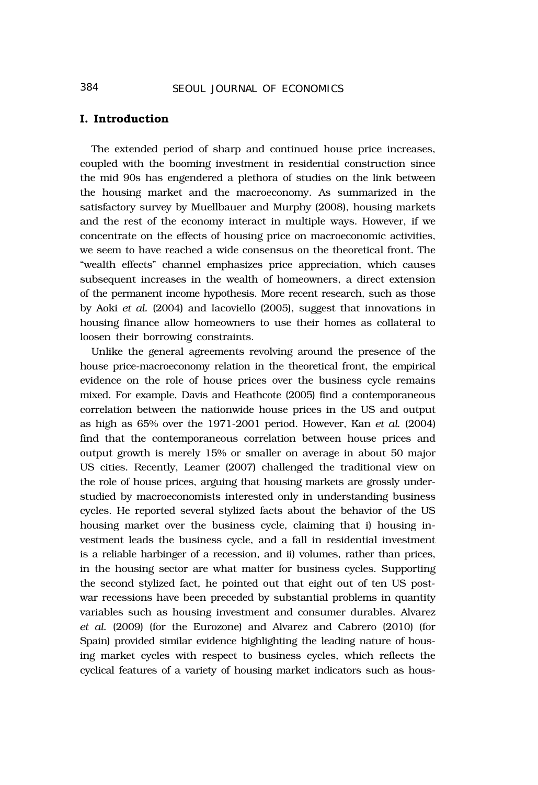## **I. Introduction**

The extended period of sharp and continued house price increases, coupled with the booming investment in residential construction since the mid 90s has engendered a plethora of studies on the link between the housing market and the macroeconomy. As summarized in the satisfactory survey by Muellbauer and Murphy (2008), housing markets and the rest of the economy interact in multiple ways. However, if we concentrate on the effects of housing price on macroeconomic activities, we seem to have reached a wide consensus on the theoretical front. The "wealth effects" channel emphasizes price appreciation, which causes subsequent increases in the wealth of homeowners, a direct extension of the permanent income hypothesis. More recent research, such as those by Aoki *et al.* (2004) and Iacoviello (2005), suggest that innovations in housing finance allow homeowners to use their homes as collateral to loosen their borrowing constraints.

Unlike the general agreements revolving around the presence of the house price-macroeconomy relation in the theoretical front, the empirical evidence on the role of house prices over the business cycle remains mixed. For example, Davis and Heathcote (2005) find a contemporaneous correlation between the nationwide house prices in the US and output as high as 65% over the 1971-2001 period. However, Kan *et al.* (2004) find that the contemporaneous correlation between house prices and output growth is merely 15% or smaller on average in about 50 major US cities. Recently, Leamer (2007) challenged the traditional view on the role of house prices, arguing that housing markets are grossly understudied by macroeconomists interested only in understanding business cycles. He reported several stylized facts about the behavior of the US housing market over the business cycle, claiming that i) housing investment leads the business cycle, and a fall in residential investment is a reliable harbinger of a recession, and ii) volumes, rather than prices, in the housing sector are what matter for business cycles. Supporting the second stylized fact, he pointed out that eight out of ten US postwar recessions have been preceded by substantial problems in quantity variables such as housing investment and consumer durables. Alvarez *et al.* (2009) (for the Eurozone) and Alvarez and Cabrero (2010) (for Spain) provided similar evidence highlighting the leading nature of housing market cycles with respect to business cycles, which reflects the cyclical features of a variety of housing market indicators such as hous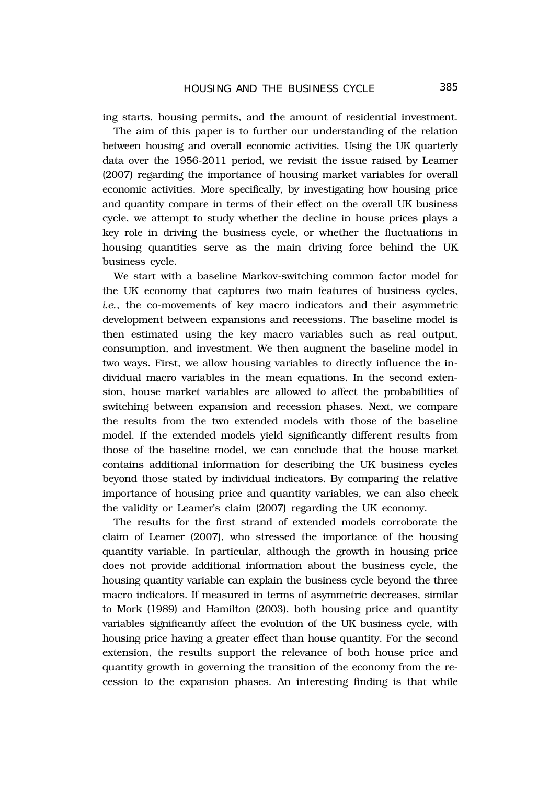ing starts, housing permits, and the amount of residential investment. The aim of this paper is to further our understanding of the relation between housing and overall economic activities. Using the UK quarterly data over the 1956-2011 period, we revisit the issue raised by Leamer

(2007) regarding the importance of housing market variables for overall economic activities. More specifically, by investigating how housing price and quantity compare in terms of their effect on the overall UK business cycle, we attempt to study whether the decline in house prices plays a key role in driving the business cycle, or whether the fluctuations in housing quantities serve as the main driving force behind the UK business cycle.

We start with a baseline Markov-switching common factor model for the UK economy that captures two main features of business cycles, *i.e.*, the co-movements of key macro indicators and their asymmetric development between expansions and recessions. The baseline model is then estimated using the key macro variables such as real output, consumption, and investment. We then augment the baseline model in two ways. First, we allow housing variables to directly influence the individual macro variables in the mean equations. In the second extension, house market variables are allowed to affect the probabilities of switching between expansion and recession phases. Next, we compare the results from the two extended models with those of the baseline model. If the extended models yield significantly different results from those of the baseline model, we can conclude that the house market contains additional information for describing the UK business cycles beyond those stated by individual indicators. By comparing the relative importance of housing price and quantity variables, we can also check the validity or Leamer's claim (2007) regarding the UK economy.

The results for the first strand of extended models corroborate the claim of Leamer (2007), who stressed the importance of the housing quantity variable. In particular, although the growth in housing price does not provide additional information about the business cycle, the housing quantity variable can explain the business cycle beyond the three macro indicators. If measured in terms of asymmetric decreases, similar to Mork (1989) and Hamilton (2003), both housing price and quantity variables significantly affect the evolution of the UK business cycle, with housing price having a greater effect than house quantity. For the second extension, the results support the relevance of both house price and quantity growth in governing the transition of the economy from the recession to the expansion phases. An interesting finding is that while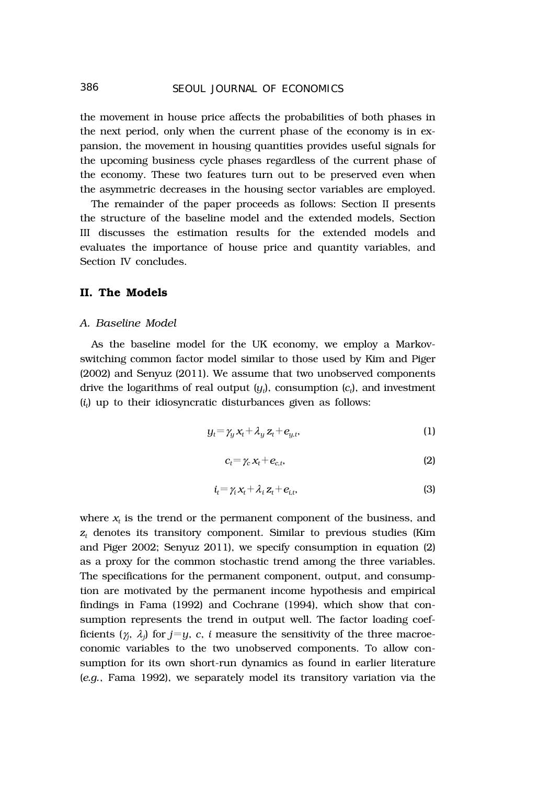# 386 *SEOUL JOURNAL OF ECONOMICS*

the movement in house price affects the probabilities of both phases in the next period, only when the current phase of the economy is in expansion, the movement in housing quantities provides useful signals for the upcoming business cycle phases regardless of the current phase of the economy. These two features turn out to be preserved even when the asymmetric decreases in the housing sector variables are employed.

The remainder of the paper proceeds as follows: Section II presents the structure of the baseline model and the extended models, Section III discusses the estimation results for the extended models and evaluates the importance of house price and quantity variables, and Section IV concludes.

# **II. The Models**

#### *A. Baseline Model*

As the baseline model for the UK economy, we employ a Markovswitching common factor model similar to those used by Kim and Piger (2002) and Senyuz (2011). We assume that two unobserved components drive the logarithms of real output  $(y_t)$ , consumption  $(c_t)$ , and investment (*it*) up to their idiosyncratic disturbances given as follows:

$$
y_t = \gamma_y x_t + \lambda_y z_t + e_{y,t}, \qquad (1)
$$

$$
c_t = \gamma_c x_t + e_{c,t},\tag{2}
$$

$$
i_t = \gamma_i x_t + \lambda_i z_t + e_{i,t}, \qquad (3)
$$

where  $x_t$  is the trend or the permanent component of the business, and  $z_t$  denotes its transitory component. Similar to previous studies (Kim and Piger 2002; Senyuz 2011), we specify consumption in equation (2) as a proxy for the common stochastic trend among the three variables. The specifications for the permanent component, output, and consumption are motivated by the permanent income hypothesis and empirical findings in Fama (1992) and Cochrane (1994), which show that consumption represents the trend in output well. The factor loading coefficients  $(\gamma_j, \lambda_j)$  for  $j=y, \, c, \, i$  measure the sensitivity of the three macroeconomic variables to the two unobserved components. To allow consumption for its own short-run dynamics as found in earlier literature (*e.g.*, Fama 1992), we separately model its transitory variation via the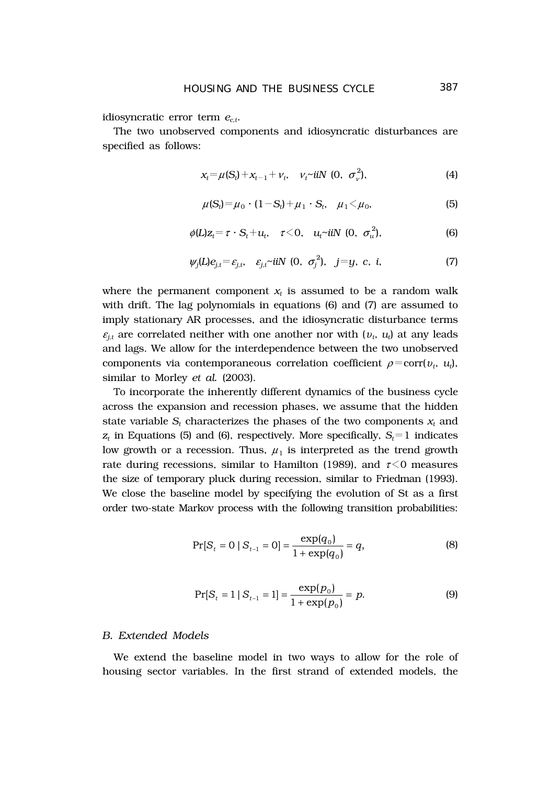idiosyncratic error term  $e_{ct}$ .

The two unobserved components and idiosyncratic disturbances are specified as follows:

$$
x_t = \mu(S_t) + x_{t-1} + v_t, \quad v_t \text{ with } (0, \sigma_v^2), \tag{4}
$$

$$
\mu(S_t) = \mu_0 \cdot (1 - S_t) + \mu_1 \cdot S_t, \quad \mu_1 < \mu_0,
$$
 (5)

$$
\phi(L)z_t = \tau \cdot S_t + u_t, \quad \tau < 0, \quad u_t \sim \text{iiN} \ (0, \ \sigma_u^2), \tag{6}
$$

$$
\psi_j(L)e_{j,t}= \varepsilon_{j,t}, \quad \varepsilon_{j,t} \text{ with } (0, \sigma_j^2), \quad j=y, \text{ c, i, } (7)
$$

where the permanent component  $x_t$  is assumed to be a random walk with drift. The lag polynomials in equations (6) and (7) are assumed to imply stationary AR processes, and the idiosyncratic disturbance terms  $\varepsilon_{j,t}$  are correlated neither with one another nor with  $(v_t, u_t)$  at any leads and lags. We allow for the interdependence between the two unobserved components via contemporaneous correlation coefficient  $\rho = \text{corr}(v_t, u_t)$ , similar to Morley *et al.* (2003).

To incorporate the inherently different dynamics of the business cycle across the expansion and recession phases, we assume that the hidden state variable  $S_t$  characterizes the phases of the two components  $x_t$  and  $z_t$  in Equations (5) and (6), respectively. More specifically,  $S_t = 1$  indicates low growth or a recession. Thus,  $\mu_1$  is interpreted as the trend growth rate during recessions, similar to Hamilton (1989), and  $\tau$ <0 measures the size of temporary pluck during recession, similar to Friedman (1993). We close the baseline model by specifying the evolution of St as a first order two-state Markov process with the following transition probabilities:

$$
Pr[S_t = 0 | S_{t-1} = 0] = \frac{\exp(q_0)}{1 + \exp(q_0)} = q,
$$
\n(8)

$$
\Pr[S_t = 1 \mid S_{t-1} = 1] = \frac{\exp(p_0)}{1 + \exp(p_0)} = p. \tag{9}
$$

#### *B. Extended Models*

We extend the baseline model in two ways to allow for the role of housing sector variables. In the first strand of extended models, the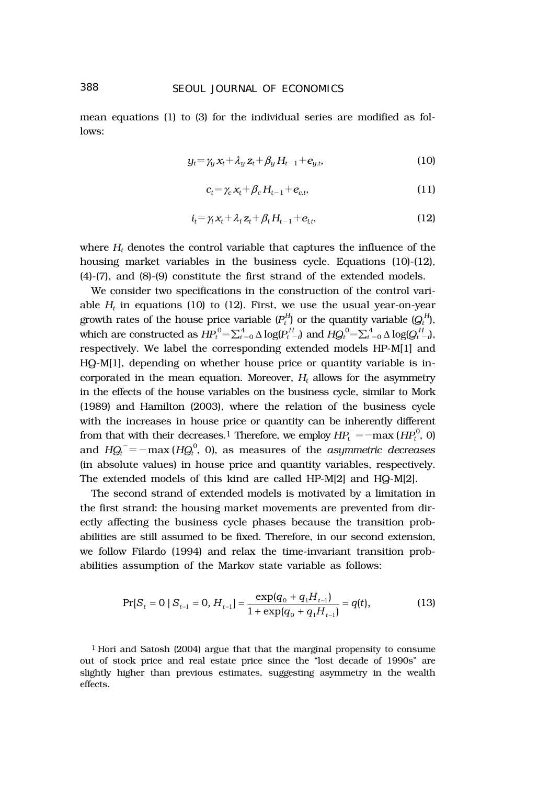# 388 *SEOUL JOURNAL OF ECONOMICS*

mean equations (1) to (3) for the individual series are modified as follows:

$$
y_t = \gamma_y x_t + \lambda_y z_t + \beta_y H_{t-1} + e_{y,t}, \qquad (10)
$$

$$
c_t = \gamma_c x_t + \beta_c H_{t-1} + e_{c,t}, \qquad (11)
$$

$$
i_t = \gamma_i x_t + \lambda_i z_t + \beta_i H_{t-1} + e_{i,t}, \qquad (12)
$$

where  $H_t$  denotes the control variable that captures the influence of the housing market variables in the business cycle. Equations (10)-(12), (4)-(7), and (8)-(9) constitute the first strand of the extended models.

We consider two specifications in the construction of the control variable  $H_t$  in equations (10) to (12). First, we use the usual year-on-year growth rates of the house price variable  $(P_t^H)$  or the quantity variable  $(Q_t^H)$ , which are constructed as  $H\!P_t^0\!=\!\sum_{i=0}^4\Delta \log \! (P_{t-i}^H)$  and  $H\!Q_t^0\!=\!\sum_{i=0}^4\Delta \log \! (Q_{t-i}^H)$ , respectively. We label the corresponding extended models HP-M[1] and HQ-M[1], depending on whether house price or quantity variable is incorporated in the mean equation. Moreover,  $H_t$  allows for the asymmetry in the effects of the house variables on the business cycle, similar to Mork (1989) and Hamilton (2003), where the relation of the business cycle with the increases in house price or quantity can be inherently different from that with their decreases.<sup>1</sup> Therefore, we employ  $H\!P_t^- \!=\! -\!\max{(H\!P_t^0,0)}$ and  $H Q_t^- \! = \! -\max{(H Q_t^0, \; 0)}$ , as measures of the *asymmetric decreases* (in absolute values) in house price and quantity variables, respectively. The extended models of this kind are called HP-M[2] and HQ-M[2].

The second strand of extended models is motivated by a limitation in the first strand: the housing market movements are prevented from directly affecting the business cycle phases because the transition probabilities are still assumed to be fixed. Therefore, in our second extension, we follow Filardo (1994) and relax the time-invariant transition probabilities assumption of the Markov state variable as follows:

$$
\Pr[S_t = 0 \mid S_{t-1} = 0, H_{t-1}] = \frac{\exp(q_0 + q_1 H_{t-1})}{1 + \exp(q_0 + q_1 H_{t-1})} = q(t),\tag{13}
$$

1 Hori and Satosh (2004) argue that that the marginal propensity to consume out of stock price and real estate price since the "lost decade of 1990s" are slightly higher than previous estimates, suggesting asymmetry in the wealth effects.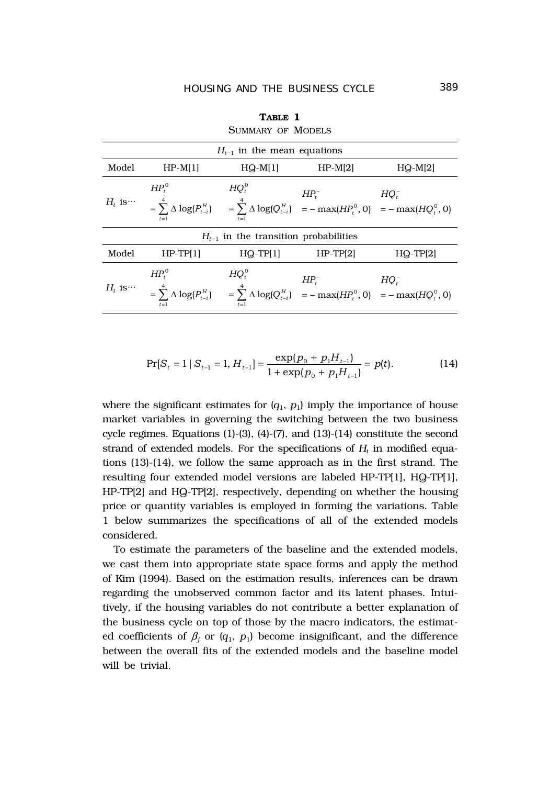| OUMMARI UF MULLELO                        |                 |            |                                                                                                                                                    |              |  |  |  |  |  |
|-------------------------------------------|-----------------|------------|----------------------------------------------------------------------------------------------------------------------------------------------------|--------------|--|--|--|--|--|
| $H_{t-1}$ in the mean equations           |                 |            |                                                                                                                                                    |              |  |  |  |  |  |
| Model                                     | $HP-M[1]$       | $HQ-M[1]$  | $HP-M[2]$                                                                                                                                          | $HQ-M[2]$    |  |  |  |  |  |
|                                           | $HP^0$<br>$t=1$ | $HQ_t^0$   | $HP_t^-$<br>$H_t$ is $= \sum_{i=1}^{4} \Delta \log(P_{t-i}^H)$ $= \sum_{i=1}^{4} \Delta \log(Q_{t-i}^H)$ $= -\max(HP_t^0, 0)$ $= -\max(HQ_t^0, 0)$ | $HQ_t^-$     |  |  |  |  |  |
| $H_{t-1}$ in the transition probabilities |                 |            |                                                                                                                                                    |              |  |  |  |  |  |
| Model                                     | $HP-TPI1$       | $HQ-TP[1]$ | $HP-TP[2]$                                                                                                                                         | $HQ - TP[2]$ |  |  |  |  |  |
| $H_t$ is $\cdots$                         | $HP^0$          | $HQ_t^0$   | $HP_t^-$<br>= $\sum_{i=1}^{4} \Delta \log(P_{t-i}^H)$ = $\sum_{i=1}^{4} \Delta \log(Q_{t-i}^H)$ = $-\max(HP_t^0, 0)$ = $-\max(HQ_t^0, 0)$          | $HQ_t^-$     |  |  |  |  |  |

**TABLE 1** SUMMARY OF MODELS

$$
\Pr[S_t = 1 \mid S_{t-1} = 1, H_{t-1}] = \frac{\exp(p_0 + p_1 H_{t-1})}{1 + \exp(p_0 + p_1 H_{t-1})} = p(t). \tag{14}
$$

where the significant estimates for  $(q_1, p_1)$  imply the importance of house market variables in governing the switching between the two business cycle regimes. Equations (1)-(3), (4)-(7), and (13)-(14) constitute the second strand of extended models. For the specifications of  $H_t$  in modified equations (13)-(14), we follow the same approach as in the first strand. The resulting four extended model versions are labeled HP-TP[1], HQ-TP[1], HP-TP[2] and HQ-TP[2], respectively, depending on whether the housing price or quantity variables is employed in forming the variations. Table 1 below summarizes the specifications of all of the extended models considered.

To estimate the parameters of the baseline and the extended models, we cast them into appropriate state space forms and apply the method of Kim (1994). Based on the estimation results, inferences can be drawn regarding the unobserved common factor and its latent phases. Intuitively, if the housing variables do not contribute a better explanation of the business cycle on top of those by the macro indicators, the estimated coefficients of  $\beta_j$  or ( $q_1$ ,  $p_1$ ) become insignificant, and the difference between the overall fits of the extended models and the baseline model will be trivial.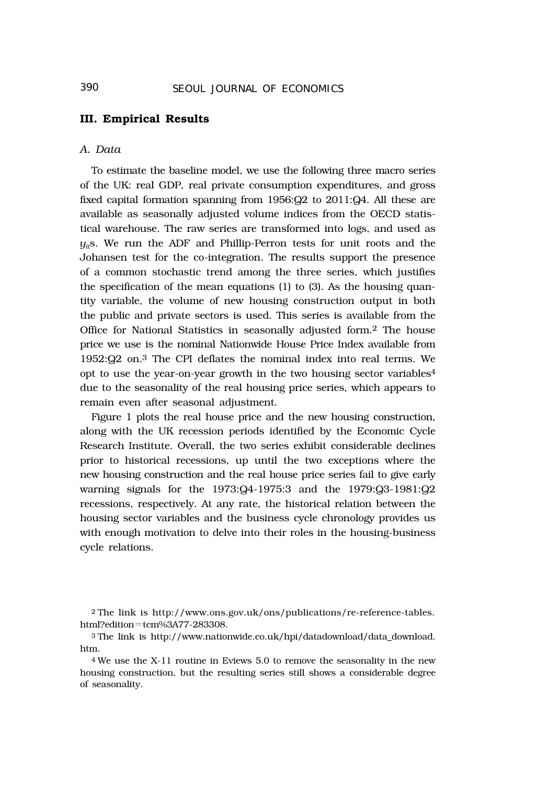## **III. Empirical Results**

#### *A. Data*

To estimate the baseline model, we use the following three macro series of the UK: real GDP, real private consumption expenditures, and gross fixed capital formation spanning from 1956:Q2 to 2011:Q4. All these are available as seasonally adjusted volume indices from the OECD statistical warehouse. The raw series are transformed into logs, and used as  $y_{ij}$ s. We run the ADF and Phillip-Perron tests for unit roots and the Johansen test for the co-integration. The results support the presence of a common stochastic trend among the three series, which justifies the specification of the mean equations (1) to (3). As the housing quantity variable, the volume of new housing construction output in both the public and private sectors is used. This series is available from the Office for National Statistics in seasonally adjusted form.2 The house price we use is the nominal Nationwide House Price Index available from 1952:Q2 on.3 The CPI deflates the nominal index into real terms. We opt to use the year-on-year growth in the two housing sector variables4 due to the seasonality of the real housing price series, which appears to remain even after seasonal adjustment.

Figure 1 plots the real house price and the new housing construction, along with the UK recession periods identified by the Economic Cycle Research Institute. Overall, the two series exhibit considerable declines prior to historical recessions, up until the two exceptions where the new housing construction and the real house price series fail to give early warning signals for the 1973:Q4-1975:3 and the 1979:Q3-1981:Q2 recessions, respectively. At any rate, the historical relation between the housing sector variables and the business cycle chronology provides us with enough motivation to delve into their roles in the housing-business cycle relations.

<sup>2</sup> The link is http://www.ons.gov.uk/ons/publications/re-reference-tables. html?edition=tcm%3A77-283308.

<sup>3</sup> The link is http://www.nationwide.co.uk/hpi/datadownload/data\_download. htm.

<sup>4</sup> We use the X-11 routine in Eviews 5.0 to remove the seasonality in the new housing construction, but the resulting series still shows a considerable degree of seasonality.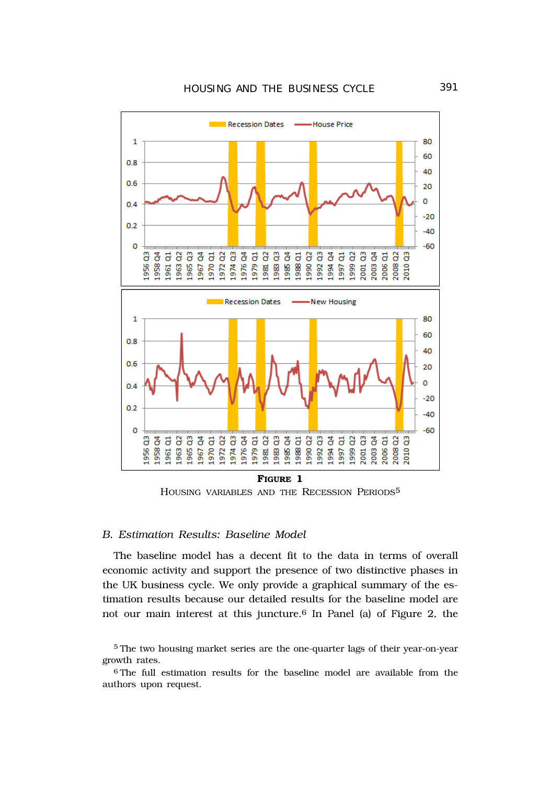

HOUSING VARIABLES AND THE RECESSION PERIODS5

#### *B. Estimation Results: Baseline Model*

The baseline model has a decent fit to the data in terms of overall economic activity and support the presence of two distinctive phases in the UK business cycle. We only provide a graphical summary of the estimation results because our detailed results for the baseline model are not our main interest at this juncture.6 In Panel (a) of Figure 2, the

<sup>5</sup> The two housing market series are the one-quarter lags of their year-on-year growth rates.

<sup>6</sup> The full estimation results for the baseline model are available from the authors upon request.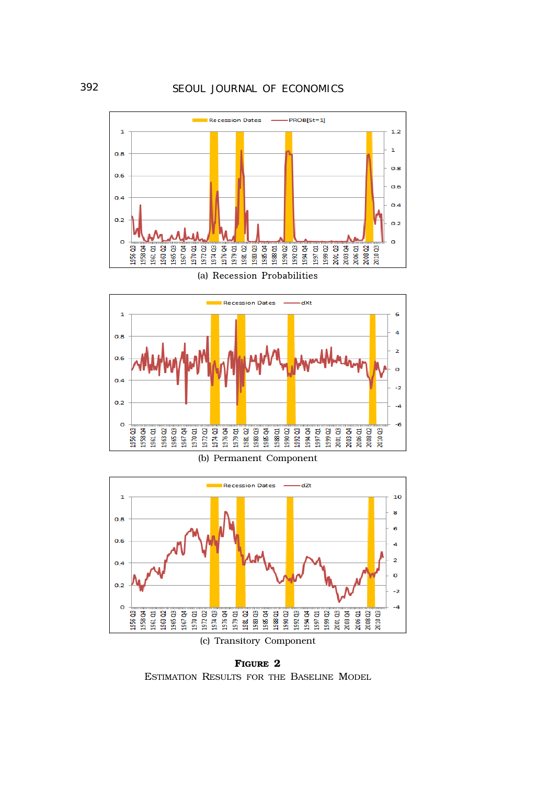







(c) Transitory Component

**FIGURE 2** ESTIMATION RESULTS FOR THE BASELINE MODEL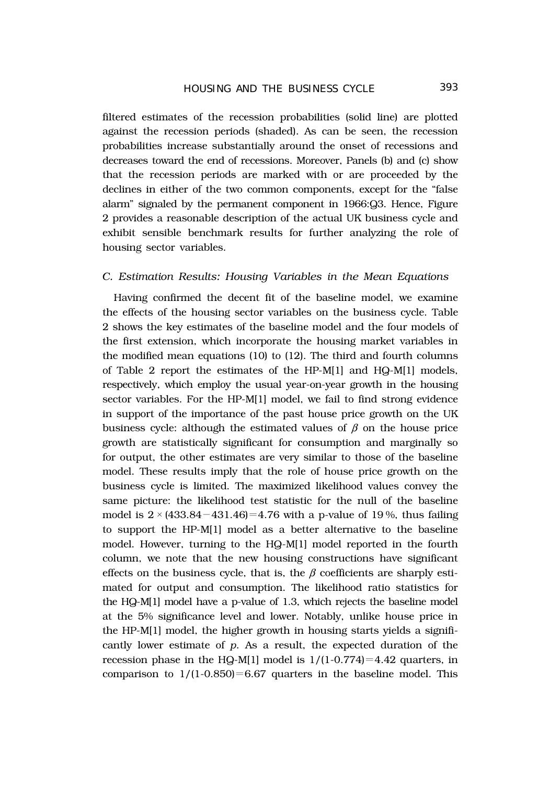filtered estimates of the recession probabilities (solid line) are plotted against the recession periods (shaded). As can be seen, the recession probabilities increase substantially around the onset of recessions and decreases toward the end of recessions. Moreover, Panels (b) and (c) show that the recession periods are marked with or are proceeded by the declines in either of the two common components, except for the "false alarm" signaled by the permanent component in 1966:Q3. Hence, Figure 2 provides a reasonable description of the actual UK business cycle and exhibit sensible benchmark results for further analyzing the role of housing sector variables.

#### *C. Estimation Results: Housing Variables in the Mean Equations*

Having confirmed the decent fit of the baseline model, we examine the effects of the housing sector variables on the business cycle. Table 2 shows the key estimates of the baseline model and the four models of the first extension, which incorporate the housing market variables in the modified mean equations (10) to (12). The third and fourth columns of Table 2 report the estimates of the HP-M[1] and HQ-M[1] models, respectively, which employ the usual year-on-year growth in the housing sector variables. For the HP-M[1] model, we fail to find strong evidence in support of the importance of the past house price growth on the UK business cycle: although the estimated values of  $\beta$  on the house price growth are statistically significant for consumption and marginally so for output, the other estimates are very similar to those of the baseline model. These results imply that the role of house price growth on the business cycle is limited. The maximized likelihood values convey the same picture: the likelihood test statistic for the null of the baseline model is  $2 \times (433.84 - 431.46) = 4.76$  with a p-value of 19%, thus failing to support the HP-M[1] model as a better alternative to the baseline model. However, turning to the HQ-M[1] model reported in the fourth column, we note that the new housing constructions have significant effects on the business cycle, that is, the  $\beta$  coefficients are sharply estimated for output and consumption. The likelihood ratio statistics for the HQ-M[1] model have a p-value of 1.3, which rejects the baseline model at the 5% significance level and lower. Notably, unlike house price in the HP-M[1] model, the higher growth in housing starts yields a significantly lower estimate of *p*. As a result, the expected duration of the recession phase in the HQ-M[1] model is  $1/(1-0.774)=4.42$  quarters, in comparison to  $1/(1-0.850)=6.67$  quarters in the baseline model. This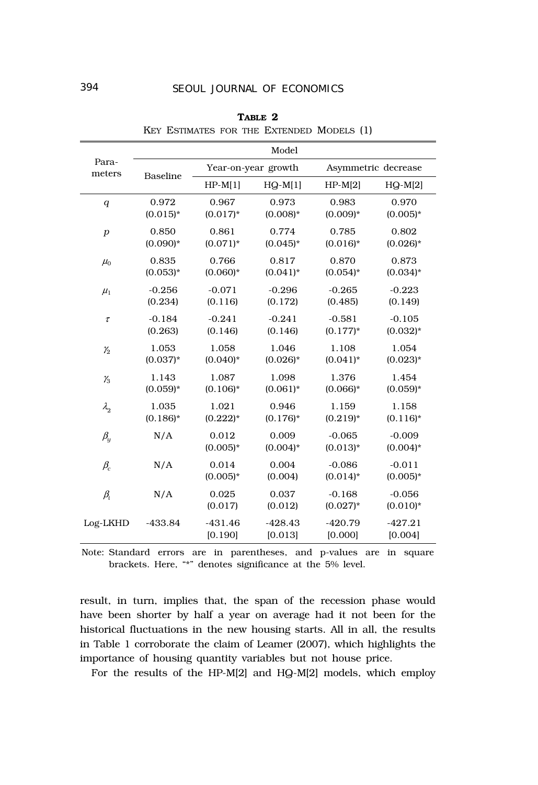|                                  | Model           |                      |                      |                         |                        |  |
|----------------------------------|-----------------|----------------------|----------------------|-------------------------|------------------------|--|
| Para-<br>meters                  | <b>Baseline</b> | Year-on-year growth  |                      |                         | Asymmetric decrease    |  |
|                                  |                 | $HP-M[1]$            | $HQ-M[1]$            | $HP-M[2]$               | $HQ-M[2]$              |  |
| $\boldsymbol{q}$                 | 0.972           | 0.967                | 0.973                | 0.983                   | 0.970                  |  |
|                                  | $(0.015)*$      | $(0.017)*$           | $(0.008)*$           | $(0.009)*$              | $(0.005)*$             |  |
| $\boldsymbol{p}$                 | 0.850           | 0.861                | 0.774                | 0.785                   | 0.802                  |  |
|                                  | $(0.090)*$      | $(0.071)^*$          | $(0.045)^*$          | $(0.016)*$              | $(0.026)*$             |  |
| $\mu_{0}$                        | 0.835           | 0.766                | 0.817                | 0.870                   | 0.873                  |  |
|                                  | $(0.053)*$      | $(0.060)*$           | $(0.041)^*$          | $(0.054)$ *             | $(0.034)^*$            |  |
| $\mu_1$                          | $-0.256$        | $-0.071$             | $-0.296$             | $-0.265$                | $-0.223$               |  |
|                                  | (0.234)         | (0.116)              | (0.172)              | (0.485)                 | (0.149)                |  |
| $\tau$                           | $-0.184$        | $-0.241$             | $-0.241$             | $-0.581$                | $-0.105$               |  |
|                                  | (0.263)         | (0.146)              | (0.146)              | $(0.177)^*$             | $(0.032)*$             |  |
| $\mathcal{V}_2$                  | 1.053           | 1.058                | 1.046                | 1.108                   | 1.054                  |  |
|                                  | $(0.037)^*$     | $(0.040)*$           | $(0.026)*$           | $(0.041)^*$             | $(0.023)*$             |  |
| $\mathcal{V}_3$                  | 1.143           | 1.087                | 1.098                | 1.376                   | 1.454                  |  |
|                                  | $(0.059)*$      | $(0.106)*$           | $(0.061)*$           | $(0.066)*$              | $(0.059)*$             |  |
| $\lambda_2$                      | 1.035           | 1.021                | 0.946                | 1.159                   | 1.158                  |  |
|                                  | $(0.186)$ *     | $(0.222)^{*}$        | $(0.176)^*$          | $(0.219)*$              | $(0.116)^*$            |  |
| $\beta_{\!\scriptscriptstyle Y}$ | N/A             | 0.012<br>$(0.005)*$  | 0.009<br>$(0.004)*$  | $-0.065$<br>$(0.013)*$  | $-0.009$<br>$(0.004)*$ |  |
| $\beta_c$                        | N/A             | 0.014<br>$(0.005)*$  | 0.004<br>(0.004)     | $-0.086$<br>$(0.014)^*$ | $-0.011$<br>$(0.005)*$ |  |
| $\beta_i$                        | N/A             | 0.025<br>(0.017)     | 0.037<br>(0.012)     | $-0.168$<br>$(0.027)^*$ | $-0.056$<br>$(0.010)*$ |  |
| Log-LKHD                         | $-433.84$       | $-431.46$<br>[0.190] | $-428.43$<br>[0.013] | $-420.79$<br>[0.000]    | $-427.21$<br>[0.004]   |  |

**TABLE 2** KEY ESTIMATES FOR THE EXTENDED MODELS (1)

Note: Standard errors are in parentheses, and p-values are in square brackets. Here, "\*" denotes significance at the 5% level.

result, in turn, implies that, the span of the recession phase would have been shorter by half a year on average had it not been for the historical fluctuations in the new housing starts. All in all, the results in Table 1 corroborate the claim of Leamer (2007), which highlights the importance of housing quantity variables but not house price.

For the results of the HP-M[2] and HQ-M[2] models, which employ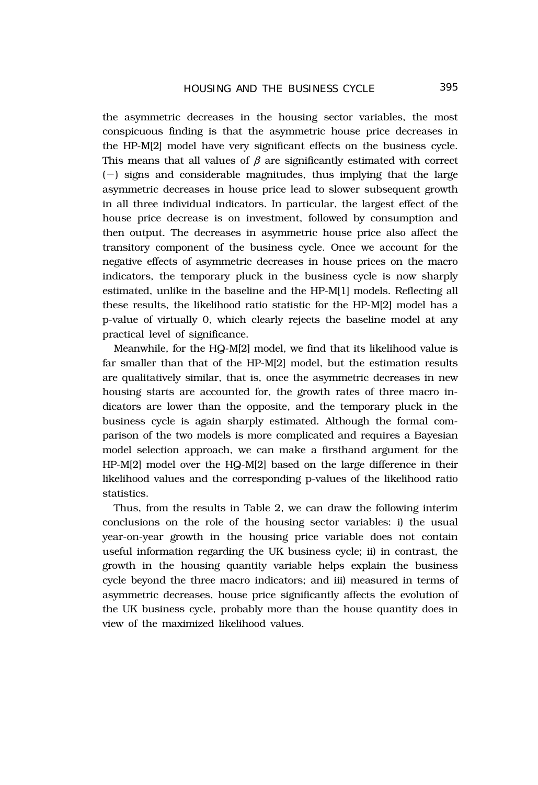the asymmetric decreases in the housing sector variables, the most conspicuous finding is that the asymmetric house price decreases in the HP-M[2] model have very significant effects on the business cycle. This means that all values of  $\beta$  are significantly estimated with correct  $(-)$  signs and considerable magnitudes, thus implying that the large asymmetric decreases in house price lead to slower subsequent growth in all three individual indicators. In particular, the largest effect of the house price decrease is on investment, followed by consumption and then output. The decreases in asymmetric house price also affect the transitory component of the business cycle. Once we account for the negative effects of asymmetric decreases in house prices on the macro indicators, the temporary pluck in the business cycle is now sharply estimated, unlike in the baseline and the HP-M[1] models. Reflecting all these results, the likelihood ratio statistic for the HP-M[2] model has a p-value of virtually 0, which clearly rejects the baseline model at any practical level of significance.

Meanwhile, for the HQ-M[2] model, we find that its likelihood value is far smaller than that of the HP-M[2] model, but the estimation results are qualitatively similar, that is, once the asymmetric decreases in new housing starts are accounted for, the growth rates of three macro indicators are lower than the opposite, and the temporary pluck in the business cycle is again sharply estimated. Although the formal comparison of the two models is more complicated and requires a Bayesian model selection approach, we can make a firsthand argument for the HP-M[2] model over the HQ-M[2] based on the large difference in their likelihood values and the corresponding p-values of the likelihood ratio statistics.

Thus, from the results in Table 2, we can draw the following interim conclusions on the role of the housing sector variables: i) the usual year-on-year growth in the housing price variable does not contain useful information regarding the UK business cycle; ii) in contrast, the growth in the housing quantity variable helps explain the business cycle beyond the three macro indicators; and iii) measured in terms of asymmetric decreases, house price significantly affects the evolution of the UK business cycle, probably more than the house quantity does in view of the maximized likelihood values.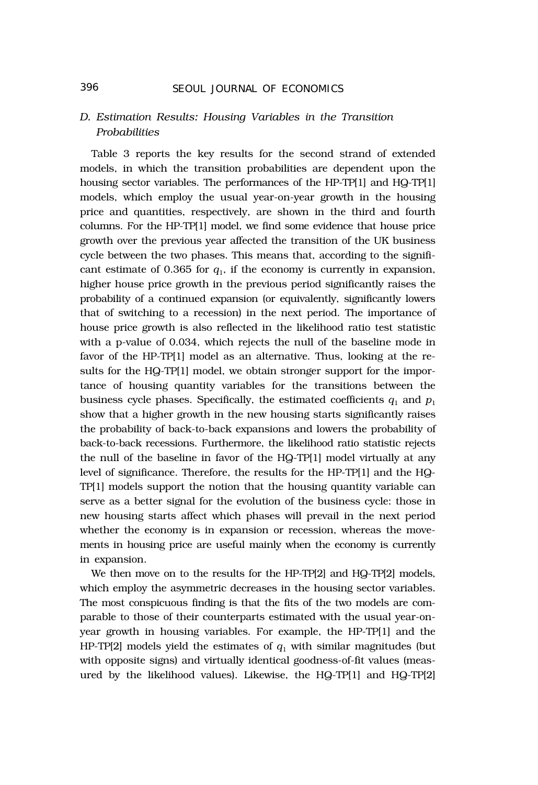# *D. Estimation Results: Housing Variables in the Transition Probabilities*

Table 3 reports the key results for the second strand of extended models, in which the transition probabilities are dependent upon the housing sector variables. The performances of the HP-TP[1] and HQ-TP[1] models, which employ the usual year-on-year growth in the housing price and quantities, respectively, are shown in the third and fourth columns. For the HP-TP[1] model, we find some evidence that house price growth over the previous year affected the transition of the UK business cycle between the two phases. This means that, according to the significant estimate of 0.365 for  $q_1$ , if the economy is currently in expansion, higher house price growth in the previous period significantly raises the probability of a continued expansion (or equivalently, significantly lowers that of switching to a recession) in the next period. The importance of house price growth is also reflected in the likelihood ratio test statistic with a p-value of 0.034, which rejects the null of the baseline mode in favor of the HP-TP[1] model as an alternative. Thus, looking at the results for the HQ-TP[1] model, we obtain stronger support for the importance of housing quantity variables for the transitions between the business cycle phases. Specifically, the estimated coefficients  $q_1$  and  $p_1$ show that a higher growth in the new housing starts significantly raises the probability of back-to-back expansions and lowers the probability of back-to-back recessions. Furthermore, the likelihood ratio statistic rejects the null of the baseline in favor of the HQ-TP[1] model virtually at any level of significance. Therefore, the results for the HP-TP[1] and the HQ-TP[1] models support the notion that the housing quantity variable can serve as a better signal for the evolution of the business cycle: those in new housing starts affect which phases will prevail in the next period whether the economy is in expansion or recession, whereas the movements in housing price are useful mainly when the economy is currently in expansion.

We then move on to the results for the HP-TP[2] and HQ-TP[2] models, which employ the asymmetric decreases in the housing sector variables. The most conspicuous finding is that the fits of the two models are comparable to those of their counterparts estimated with the usual year-onyear growth in housing variables. For example, the HP-TP[1] and the HP-TP[2] models yield the estimates of  $q_1$  with similar magnitudes (but with opposite signs) and virtually identical goodness-of-fit values (measured by the likelihood values). Likewise, the HQ-TP[1] and HQ-TP[2]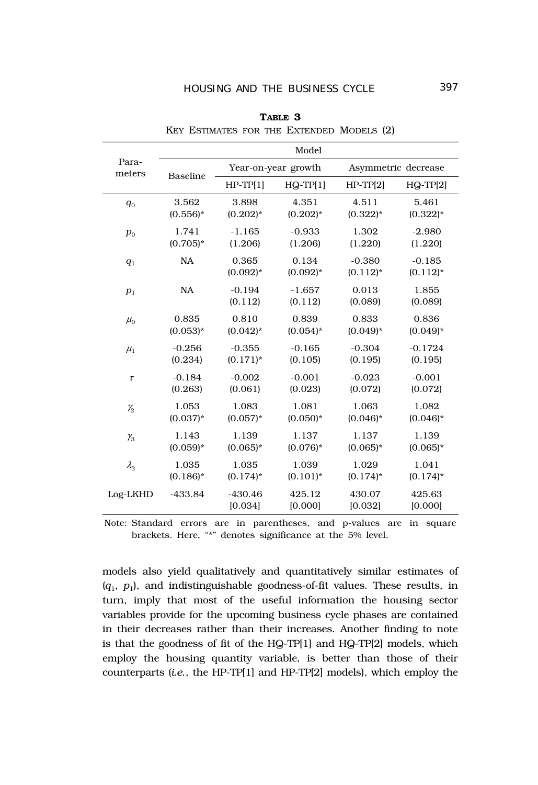|                 | Model       |                      |                     |                         |                         |  |
|-----------------|-------------|----------------------|---------------------|-------------------------|-------------------------|--|
| Para-<br>meters | Baseline    | Year-on-year growth  |                     | Asymmetric decrease     |                         |  |
|                 |             | $HP-TPI1$            | $HQ-TP[1]$          | $HP-TP[2]$              | $HQ-TP[2]$              |  |
| $q_0$           | 3.562       | 3.898                | 4.351               | 4.511                   | 5.461                   |  |
|                 | $(0.556)^*$ | $(0.202)*$           | $(0.202)^{*}$       | $(0.322)^{*}$           | $(0.322)^{*}$           |  |
| $p_0$           | 1.741       | $-1.165$             | $-0.933$            | 1.302                   | $-2.980$                |  |
|                 | $(0.705)*$  | (1.206)              | (1.206)             | (1.220)                 | (1.220)                 |  |
| q <sub>1</sub>  | <b>NA</b>   | 0.365<br>$(0.092)*$  | 0.134<br>$(0.092)*$ | $-0.380$<br>$(0.112)^*$ | $-0.185$<br>$(0.112)^*$ |  |
| $p_1$           | <b>NA</b>   | $-0.194$<br>(0.112)  | $-1.657$<br>(0.112) | 0.013<br>(0.089)        | 1.855<br>(0.089)        |  |
| $\mu_0$         | 0.835       | 0.810                | 0.839               | 0.833                   | 0.836                   |  |
|                 | $(0.053)*$  | $(0.042)^{*}$        | $(0.054)$ *         | $(0.049)*$              | $(0.049)*$              |  |
| $\mu_1$         | $-0.256$    | $-0.355$             | $-0.165$            | $-0.304$                | $-0.1724$               |  |
|                 | (0.234)     | $(0.171)^*$          | (0.105)             | (0.195)                 | (0.195)                 |  |
| $\tau$          | $-0.184$    | $-0.002$             | $-0.001$            | $-0.023$                | $-0.001$                |  |
|                 | (0.263)     | (0.061)              | (0.023)             | (0.072)                 | (0.072)                 |  |
| $\mathcal{V}_2$ | 1.053       | 1.083                | 1.081               | 1.063                   | 1.082                   |  |
|                 | $(0.037)*$  | $(0.057)^*$          | $(0.050)*$          | $(0.046)*$              | $(0.046)*$              |  |
| $\gamma_{3}$    | 1.143       | 1.139                | 1.137               | 1.137                   | 1.139                   |  |
|                 | $(0.059)*$  | $(0.065)*$           | $(0.076)*$          | $(0.065)*$              | $(0.065)*$              |  |
| $\lambda_{3}$   | 1.035       | 1.035                | 1.039               | 1.029                   | 1.041                   |  |
|                 | $(0.186)^*$ | $(0.174)^*$          | $(0.101)^*$         | $(0.174)^*$             | $(0.174)^*$             |  |
| Log-LKHD        | $-433.84$   | $-430.46$<br>[0.034] | 425.12<br>[0.000]   | 430.07<br>[0.032]       | 425.63<br>[0.000]       |  |

**TABLE 3** KEY ESTIMATES FOR THE EXTENDED MODELS (2)

Note: Standard errors are in parentheses, and p-values are in square brackets. Here, "\*" denotes significance at the 5% level.

models also yield qualitatively and quantitatively similar estimates of  $(q_1, p_1)$ , and indistinguishable goodness-of-fit values. These results, in turn, imply that most of the useful information the housing sector variables provide for the upcoming business cycle phases are contained in their decreases rather than their increases. Another finding to note is that the goodness of fit of the HQ-TP[1] and HQ-TP[2] models, which employ the housing quantity variable, is better than those of their counterparts (*i.e.*, the HP-TP[1] and HP-TP[2] models), which employ the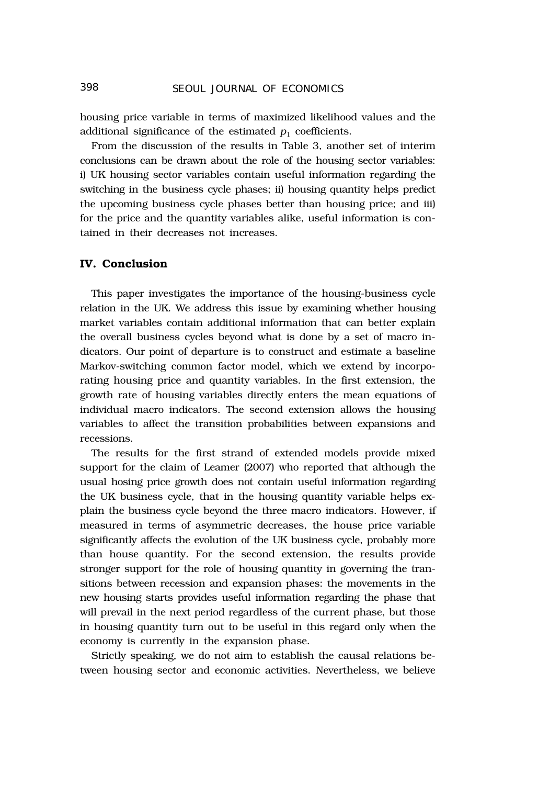housing price variable in terms of maximized likelihood values and the additional significance of the estimated  $p_1$  coefficients.

From the discussion of the results in Table 3, another set of interim conclusions can be drawn about the role of the housing sector variables: i) UK housing sector variables contain useful information regarding the switching in the business cycle phases; ii) housing quantity helps predict the upcoming business cycle phases better than housing price; and iii) for the price and the quantity variables alike, useful information is contained in their decreases not increases.

#### **IV. Conclusion**

This paper investigates the importance of the housing-business cycle relation in the UK. We address this issue by examining whether housing market variables contain additional information that can better explain the overall business cycles beyond what is done by a set of macro indicators. Our point of departure is to construct and estimate a baseline Markov-switching common factor model, which we extend by incorporating housing price and quantity variables. In the first extension, the growth rate of housing variables directly enters the mean equations of individual macro indicators. The second extension allows the housing variables to affect the transition probabilities between expansions and recessions.

The results for the first strand of extended models provide mixed support for the claim of Leamer (2007) who reported that although the usual hosing price growth does not contain useful information regarding the UK business cycle, that in the housing quantity variable helps explain the business cycle beyond the three macro indicators. However, if measured in terms of asymmetric decreases, the house price variable significantly affects the evolution of the UK business cycle, probably more than house quantity. For the second extension, the results provide stronger support for the role of housing quantity in governing the transitions between recession and expansion phases: the movements in the new housing starts provides useful information regarding the phase that will prevail in the next period regardless of the current phase, but those in housing quantity turn out to be useful in this regard only when the economy is currently in the expansion phase.

Strictly speaking, we do not aim to establish the causal relations between housing sector and economic activities. Nevertheless, we believe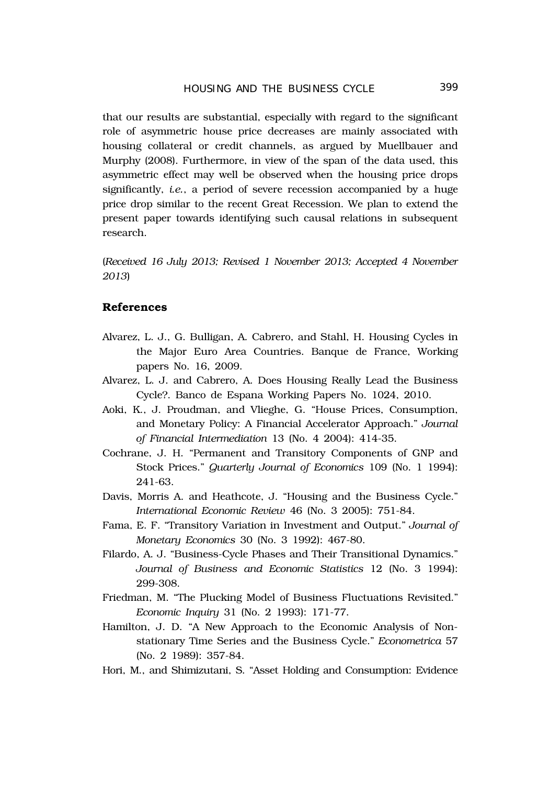that our results are substantial, especially with regard to the significant role of asymmetric house price decreases are mainly associated with housing collateral or credit channels, as argued by Muellbauer and Murphy (2008). Furthermore, in view of the span of the data used, this asymmetric effect may well be observed when the housing price drops significantly, *i.e.*, a period of severe recession accompanied by a huge price drop similar to the recent Great Recession. We plan to extend the present paper towards identifying such causal relations in subsequent research.

(*Received 16 July 2013; Revised 1 November 2013; Accepted 4 November 2013*)

## **References**

- Alvarez, L. J., G. Bulligan, A. Cabrero, and Stahl, H. Housing Cycles in the Major Euro Area Countries. Banque de France, Working papers No. 16, 2009.
- Alvarez, L. J. and Cabrero, A. Does Housing Really Lead the Business Cycle?. Banco de Espana Working Papers No. 1024, 2010.
- Aoki, K., J. Proudman, and Vlieghe, G. "House Prices, Consumption, and Monetary Policy: A Financial Accelerator Approach." *Journal of Financial Intermediation* 13 (No. 4 2004): 414-35.
- Cochrane, J. H. "Permanent and Transitory Components of GNP and Stock Prices." *Quarterly Journal of Economics* 109 (No. 1 1994): 241-63.
- Davis, Morris A. and Heathcote, J. "Housing and the Business Cycle." *International Economic Review* 46 (No. 3 2005): 751-84.
- Fama, E. F. "Transitory Variation in Investment and Output." *Journal of Monetary Economics* 30 (No. 3 1992): 467-80.
- Filardo, A. J. "Business-Cycle Phases and Their Transitional Dynamics." *Journal of Business and Economic Statistics* 12 (No. 3 1994): 299-308.
- Friedman, M. "The Plucking Model of Business Fluctuations Revisited." *Economic Inquiry* 31 (No. 2 1993): 171-77.
- Hamilton, J. D. "A New Approach to the Economic Analysis of Nonstationary Time Series and the Business Cycle." *Econometrica* 57 (No. 2 1989): 357-84.
- Hori, M., and Shimizutani, S. "Asset Holding and Consumption: Evidence